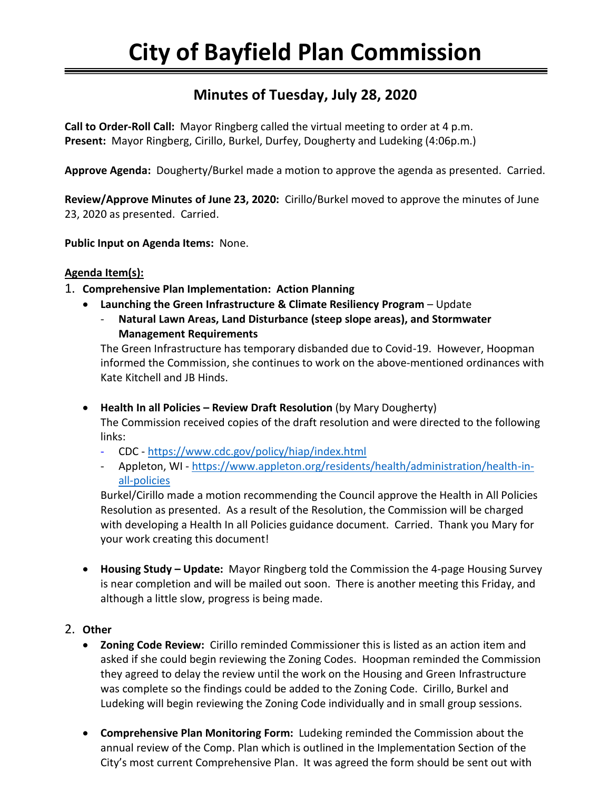# **Minutes of Tuesday, July 28, 2020**

**Call to Order-Roll Call:** Mayor Ringberg called the virtual meeting to order at 4 p.m. **Present:** Mayor Ringberg, Cirillo, Burkel, Durfey, Dougherty and Ludeking (4:06p.m.)

**Approve Agenda:** Dougherty/Burkel made a motion to approve the agenda as presented. Carried.

**Review/Approve Minutes of June 23, 2020:** Cirillo/Burkel moved to approve the minutes of June 23, 2020 as presented. Carried.

**Public Input on Agenda Items:** None.

## **Agenda Item(s):**

- 1. **Comprehensive Plan Implementation: Action Planning**
	- **Launching the Green Infrastructure & Climate Resiliency Program** Update
		- **Natural Lawn Areas, Land Disturbance (steep slope areas), and Stormwater Management Requirements**

The Green Infrastructure has temporary disbanded due to Covid-19. However, Hoopman informed the Commission, she continues to work on the above-mentioned ordinances with Kate Kitchell and JB Hinds.

• **Health In all Policies – Review Draft Resolution** (by Mary Dougherty) The Commission received copies of the draft resolution and were directed to the following links:

- CDC <https://www.cdc.gov/policy/hiap/index.html>
- Appleton, WI [https://www.appleton.org/residents/health/administration/health-in](https://www.appleton.org/residents/health/administration/health-in-all-policies)[all-policies](https://www.appleton.org/residents/health/administration/health-in-all-policies)

Burkel/Cirillo made a motion recommending the Council approve the Health in All Policies Resolution as presented. As a result of the Resolution, the Commission will be charged with developing a Health In all Policies guidance document. Carried. Thank you Mary for your work creating this document!

• **Housing Study – Update:** Mayor Ringberg told the Commission the 4-page Housing Survey is near completion and will be mailed out soon. There is another meeting this Friday, and although a little slow, progress is being made.

## 2. **Other**

- **Zoning Code Review:** Cirillo reminded Commissioner this is listed as an action item and asked if she could begin reviewing the Zoning Codes. Hoopman reminded the Commission they agreed to delay the review until the work on the Housing and Green Infrastructure was complete so the findings could be added to the Zoning Code. Cirillo, Burkel and Ludeking will begin reviewing the Zoning Code individually and in small group sessions.
- **Comprehensive Plan Monitoring Form:** Ludeking reminded the Commission about the annual review of the Comp. Plan which is outlined in the Implementation Section of the City's most current Comprehensive Plan. It was agreed the form should be sent out with